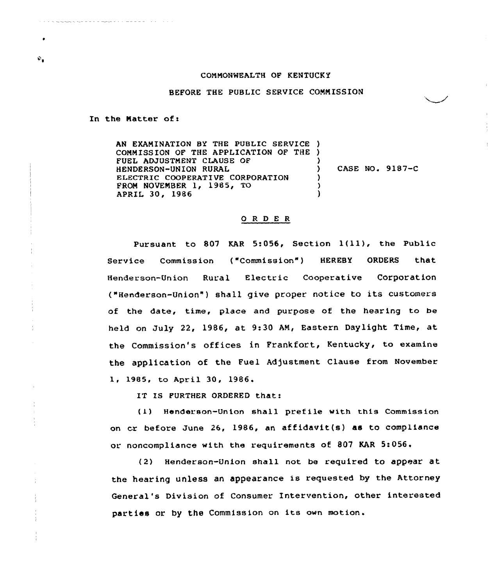## CONNONWEALTH OF KENTUCKY

BEFORE THE PUBLIC SERVICE COMMISSION

In the Matter of:

₽.

AN EXAMINATION BY THE PUBLIC SERVICE ) COMMISSION OF THE APPLICATION OF THE ) FUEL ADJUSTMENT CLAUSE OF HENDERSON-UNION RURAL ELECTRIC COOPERATIVE CORPORATION FROM NOVEMBER 1, 1985, TO APRIL 30, 1986 ) ) CASE NO. 9187-C ) ) )

## ORDER

Pursuant to <sup>807</sup> KAR 5:056, Section l(ll), the Public Service Commission ("Commission") HEREBY ORDERS that Henderson-Union Rural Electric Cooperative Corporation ("Henderson-Union" ) shall give proper notice to its customers of the date, time, place and purpose of the hearing to be held on July 22, 1986, at 9:30 AM, Eastern Daylight Time, at the Commission's offices in Frankfort, Kentucky, to examine the application of the Fuel Adjustment Clause from November 1, 1985, to April 30, 1986.

IT IS FURTHER ORDERED that:

(1) Henderson-Union shall prefile with this Commission on cr before June 26, 1986, an affidavit(s) as to compliance or. noncompliance with the requirements of 807 KAR 5:056.

(2) Henderson-Union shall not be required to appear at the hearing unless an appearance is requested by the Attorney General's Division of Consumer Intervention, other interested parties or by the Commission on its own motion.